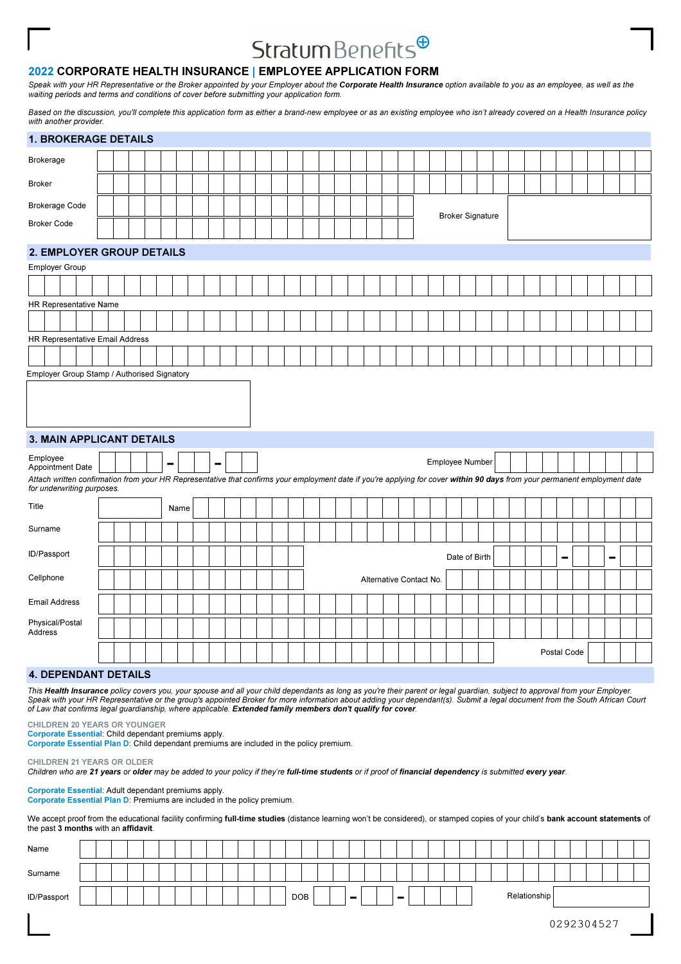# Stratum Benefits<sup>@</sup>

# 2022 CORPORATE HEALTH INSURANCE | EMPLOYEE APPLICATION FORM

Speak with your HR Representative or the Broker appointed by your Employer about the Corporate Health Insurance option available to you as an employee, as well as the waiting periods and terms and conditions of cover before submitting your application form.

Based on the discussion, you'll complete this application form as either a brand-new employee or as an existing employee who isn't already covered on a Health Insurance policy with another provider.

| <b>1. BROKERAGE DETAILS</b>                                                                                                                                                                    |  |  |   |      |                              |  |  |  |  |  |                         |  |                 |                         |  |  |             |  |                |  |
|------------------------------------------------------------------------------------------------------------------------------------------------------------------------------------------------|--|--|---|------|------------------------------|--|--|--|--|--|-------------------------|--|-----------------|-------------------------|--|--|-------------|--|----------------|--|
| <b>Brokerage</b>                                                                                                                                                                               |  |  |   |      |                              |  |  |  |  |  |                         |  |                 |                         |  |  |             |  |                |  |
| <b>Broker</b>                                                                                                                                                                                  |  |  |   |      |                              |  |  |  |  |  |                         |  |                 |                         |  |  |             |  |                |  |
| <b>Brokerage Code</b>                                                                                                                                                                          |  |  |   |      |                              |  |  |  |  |  |                         |  |                 |                         |  |  |             |  |                |  |
| <b>Broker Code</b>                                                                                                                                                                             |  |  |   |      |                              |  |  |  |  |  |                         |  |                 | <b>Broker Signature</b> |  |  |             |  |                |  |
| 2. EMPLOYER GROUP DETAILS                                                                                                                                                                      |  |  |   |      |                              |  |  |  |  |  |                         |  |                 |                         |  |  |             |  |                |  |
| Employer Group                                                                                                                                                                                 |  |  |   |      |                              |  |  |  |  |  |                         |  |                 |                         |  |  |             |  |                |  |
|                                                                                                                                                                                                |  |  |   |      |                              |  |  |  |  |  |                         |  |                 |                         |  |  |             |  |                |  |
| HR Representative Name                                                                                                                                                                         |  |  |   |      |                              |  |  |  |  |  |                         |  |                 |                         |  |  |             |  |                |  |
|                                                                                                                                                                                                |  |  |   |      |                              |  |  |  |  |  |                         |  |                 |                         |  |  |             |  |                |  |
| HR Representative Email Address                                                                                                                                                                |  |  |   |      |                              |  |  |  |  |  |                         |  |                 |                         |  |  |             |  |                |  |
|                                                                                                                                                                                                |  |  |   |      |                              |  |  |  |  |  |                         |  |                 |                         |  |  |             |  |                |  |
| Employer Group Stamp / Authorised Signatory                                                                                                                                                    |  |  |   |      |                              |  |  |  |  |  |                         |  |                 |                         |  |  |             |  |                |  |
| <b>3. MAIN APPLICANT DETAILS</b><br>Employee                                                                                                                                                   |  |  |   |      |                              |  |  |  |  |  |                         |  | Employee Number |                         |  |  |             |  |                |  |
| Appointment Date<br>Attach written confirmation from your HR Representative that confirms your employment date if you're applying for cover within 90 days from your permanent employment date |  |  | ▬ |      | $\qquad \qquad \blacksquare$ |  |  |  |  |  |                         |  |                 |                         |  |  |             |  |                |  |
| for underwriting purposes.                                                                                                                                                                     |  |  |   |      |                              |  |  |  |  |  |                         |  |                 |                         |  |  |             |  |                |  |
| Title                                                                                                                                                                                          |  |  |   | Name |                              |  |  |  |  |  |                         |  |                 |                         |  |  |             |  |                |  |
| Surname                                                                                                                                                                                        |  |  |   |      |                              |  |  |  |  |  |                         |  |                 |                         |  |  |             |  |                |  |
| ID/Passport                                                                                                                                                                                    |  |  |   |      |                              |  |  |  |  |  |                         |  |                 | Date of Birth           |  |  | -           |  | $\blacksquare$ |  |
| Cellphone                                                                                                                                                                                      |  |  |   |      |                              |  |  |  |  |  | Alternative Contact No. |  |                 |                         |  |  |             |  |                |  |
| <b>Email Address</b>                                                                                                                                                                           |  |  |   |      |                              |  |  |  |  |  |                         |  |                 |                         |  |  |             |  |                |  |
| Physical/Postal<br>Address                                                                                                                                                                     |  |  |   |      |                              |  |  |  |  |  |                         |  |                 |                         |  |  |             |  |                |  |
|                                                                                                                                                                                                |  |  |   |      |                              |  |  |  |  |  |                         |  |                 |                         |  |  | Postal Code |  |                |  |
| <b>4. DEPENDANT DETAILS</b>                                                                                                                                                                    |  |  |   |      |                              |  |  |  |  |  |                         |  |                 |                         |  |  |             |  |                |  |

This Health Insurance policy covers you, your spouse and all your child dependants as long as you're their parent or legal guardian, subject to approval from your Employer. Speak with your HR Representative or the group's appointed Broker for more information about adding your dependant(s). Submit a legal document from the South African Court of Law that confirms legal guardianship, where applicable. Extended family members don't qualify for cover.

CHILDREN 20 YEARS OR YOUNGER

Corporate Essential: Child dependant premiums apply.

Corporate Essential Plan D: Child dependant premiums are included in the policy premium.

CHILDREN 21 YEARS OR OLDER

Children who are 21 years or older may be added to your policy if they're full-time students or if proof of financial dependency is submitted every year.

Corporate Essential: Adult dependant premiums apply. Corporate Essential Plan D: Premiums are included in the policy premium.

We accept proof from the educational facility confirming full-time studies (distance learning won't be considered), or stamped copies of your child's bank account statements of the past 3 months with an affidavit.

| Name        |  |  |  |  |  |  |            |  |   |  |             |  |  |  |              |  |  |  |  |
|-------------|--|--|--|--|--|--|------------|--|---|--|-------------|--|--|--|--------------|--|--|--|--|
| Surname     |  |  |  |  |  |  |            |  |   |  |             |  |  |  |              |  |  |  |  |
| ID/Passport |  |  |  |  |  |  | <b>DOB</b> |  | - |  | <b>1999</b> |  |  |  | Relationship |  |  |  |  |
|             |  |  |  |  |  |  |            |  |   |  |             |  |  |  |              |  |  |  |  |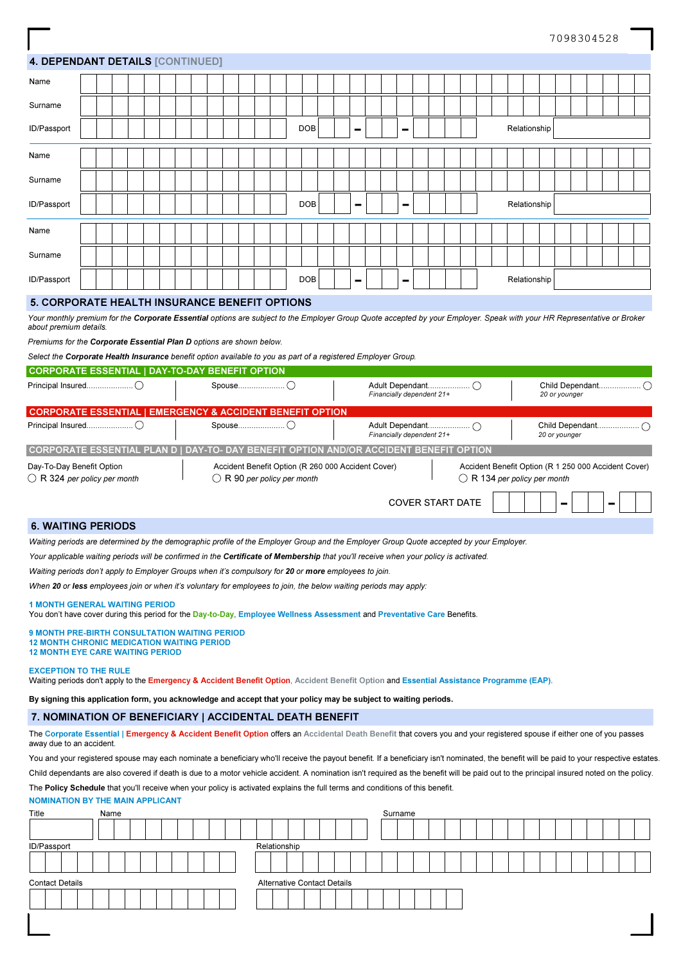# 4. DEPENDANT DETAILS [CONTINUED]

| Name        |  |  |  |  |  |  |  |            |  |                |  |                 |  |  |  |              |  |  |  |  |
|-------------|--|--|--|--|--|--|--|------------|--|----------------|--|-----------------|--|--|--|--------------|--|--|--|--|
| Surname     |  |  |  |  |  |  |  |            |  |                |  |                 |  |  |  |              |  |  |  |  |
| ID/Passport |  |  |  |  |  |  |  | <b>DOB</b> |  | $\blacksquare$ |  | $\qquad \qquad$ |  |  |  | Relationship |  |  |  |  |
| Name        |  |  |  |  |  |  |  |            |  |                |  |                 |  |  |  |              |  |  |  |  |
| Surname     |  |  |  |  |  |  |  |            |  |                |  |                 |  |  |  |              |  |  |  |  |
| ID/Passport |  |  |  |  |  |  |  | <b>DOB</b> |  | $\sim$         |  | $\sim$          |  |  |  | Relationship |  |  |  |  |
| Name        |  |  |  |  |  |  |  |            |  |                |  |                 |  |  |  |              |  |  |  |  |
| Surname     |  |  |  |  |  |  |  |            |  |                |  |                 |  |  |  |              |  |  |  |  |
| ID/Passport |  |  |  |  |  |  |  | <b>DOB</b> |  | $\sim$         |  | $\sim$          |  |  |  | Relationship |  |  |  |  |

### 5. CORPORATE HEALTH INSURANCE BENEFIT OPTIONS

Your monthly premium for the Corporate Essential options are subject to the Employer Group Quote accepted by your Employer. Speak with your HR Representative or Broker about premium details.

Premiums for the Corporate Essential Plan D options are shown below.

Select the Corporate Health Insurance benefit option available to you as part of a registered Employer Group.

| <b>CORPORATE ESSENTIAL   DAY-TO-DAY BENEFIT OPTION</b>             |                                                                                            |                           |                         |                                                                                               |
|--------------------------------------------------------------------|--------------------------------------------------------------------------------------------|---------------------------|-------------------------|-----------------------------------------------------------------------------------------------|
|                                                                    |                                                                                            | Financially dependent 21+ |                         | 20 or younger                                                                                 |
| <b>CORPORATE ESSENTIAL</b>                                         | <b>EMERGENCY &amp; ACCIDENT BENEFIT OPTION</b>                                             |                           |                         |                                                                                               |
|                                                                    |                                                                                            | Financially dependent 21+ |                         | 20 or younger                                                                                 |
|                                                                    | CORPORATE ESSENTIAL PLAN D   DAY-TO- DAY BENEFIT OPTION AND/OR ACCIDENT BENEFIT OPTION     |                           |                         |                                                                                               |
| Day-To-Day Benefit Option<br>$\bigcirc$ R 324 per policy per month | Accident Benefit Option (R 260 000 Accident Cover)<br>$\bigcirc$ R 90 per policy per month |                           |                         | Accident Benefit Option (R 1 250 000 Accident Cover)<br>$\bigcirc$ R 134 per policy per month |
|                                                                    |                                                                                            |                           | <b>COVER START DATE</b> | -                                                                                             |

## 6. WAITING PERIODS

Waiting periods are determined by the demographic profile of the Employer Group and the Employer Group Quote accepted by your Employer.

Your applicable waiting periods will be confirmed in the Certificate of Membership that you'll receive when your policy is activated.

Waiting periods don't apply to Employer Groups when it's compulsory for 20 or more employees to join.

When 20 or less employees join or when it's voluntary for employees to join, the below waiting periods may apply:

#### 1 MONTH GENERAL WAITING PERIOD

You don't have cover during this period for the Day-to-Day, Employee Wellness Assessment and Preventative Care Benefits.

| <b>9 MONTH PRE-BIRTH CONSULTATION WAITING PERIOD</b> |
|------------------------------------------------------|
| <b>12 MONTH CHRONIC MEDICATION WAITING PERIOD</b>    |
| <b>12 MONTH EYE CARE WAITING PERIOD</b>              |

#### EXCEPTION TO THE RULE

Waiting periods don't apply to the Emergency & Accident Benefit Option, Accident Benefit Option and Essential Assistance Programme (EAP).

By signing this application form, you acknowledge and accept that your policy may be subject to waiting periods.

### 7. NOMINATION OF BENEFICIARY | ACCIDENTAL DEATH BENEFIT

The Corporate Essential | Emergency & Accident Benefit Option offers an Accidental Death Benefit that covers you and your registered spouse if either one of you passes away due to an accident.

You and your registered spouse may each nominate a beneficiary who'll receive the payout benefit. If a beneficiary isn't nominated, the benefit will be paid to your respective estates. Child dependants are also covered if death is due to a motor vehicle accident. A nomination isn't required as the benefit will be paid out to the principal insured noted on the policy.

The Policy Schedule that you'll receive when your policy is activated explains the full terms and conditions of this benefit.

#### NOMINATION BY THE MAIN APPLICANT

| Title                  | Name |                                    | Surname |
|------------------------|------|------------------------------------|---------|
|                        |      |                                    |         |
| ID/Passport            |      | Relationship                       |         |
|                        |      |                                    |         |
| <b>Contact Details</b> |      | <b>Alternative Contact Details</b> |         |
|                        |      |                                    |         |
|                        |      |                                    |         |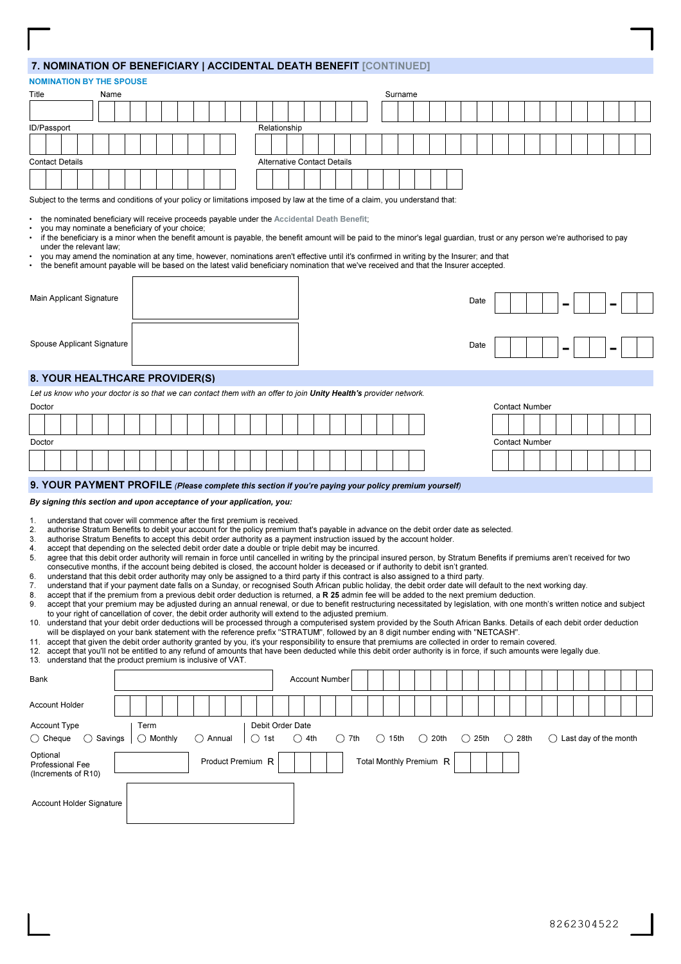# 7. NOMINATION OF BENEFICIARY | ACCIDENTAL DEATH BENEFIT [CONTINUED]

|           |                        |                                                              |                    |      |  |                    |  |  |           | <b>7. NOWINATION OF BENEFICIANT   ACCIDENTAL DEATH BENEFIT [CONTINUED]</b>                                                                                                                                                                                                                                                            |                                    |                       |                |  |           |         |                         |           |        |      |  |                       |  |  |  |                                  |  |
|-----------|------------------------|--------------------------------------------------------------|--------------------|------|--|--------------------|--|--|-----------|---------------------------------------------------------------------------------------------------------------------------------------------------------------------------------------------------------------------------------------------------------------------------------------------------------------------------------------|------------------------------------|-----------------------|----------------|--|-----------|---------|-------------------------|-----------|--------|------|--|-----------------------|--|--|--|----------------------------------|--|
|           |                        | <b>NOMINATION BY THE SPOUSE</b>                              |                    |      |  |                    |  |  |           |                                                                                                                                                                                                                                                                                                                                       |                                    |                       |                |  |           |         |                         |           |        |      |  |                       |  |  |  |                                  |  |
| Title     |                        |                                                              |                    | Name |  |                    |  |  |           |                                                                                                                                                                                                                                                                                                                                       |                                    |                       |                |  |           | Surname |                         |           |        |      |  |                       |  |  |  |                                  |  |
|           |                        |                                                              |                    |      |  |                    |  |  |           |                                                                                                                                                                                                                                                                                                                                       |                                    |                       |                |  |           |         |                         |           |        |      |  |                       |  |  |  |                                  |  |
|           | ID/Passport            |                                                              |                    |      |  |                    |  |  |           |                                                                                                                                                                                                                                                                                                                                       | Relationship                       |                       |                |  |           |         |                         |           |        |      |  |                       |  |  |  |                                  |  |
|           |                        |                                                              |                    |      |  |                    |  |  |           |                                                                                                                                                                                                                                                                                                                                       |                                    |                       |                |  |           |         |                         |           |        |      |  |                       |  |  |  |                                  |  |
|           | <b>Contact Details</b> |                                                              |                    |      |  |                    |  |  |           |                                                                                                                                                                                                                                                                                                                                       | <b>Alternative Contact Details</b> |                       |                |  |           |         |                         |           |        |      |  |                       |  |  |  |                                  |  |
|           |                        |                                                              |                    |      |  |                    |  |  |           |                                                                                                                                                                                                                                                                                                                                       |                                    |                       |                |  |           |         |                         |           |        |      |  |                       |  |  |  |                                  |  |
|           |                        |                                                              |                    |      |  |                    |  |  |           | Subject to the terms and conditions of your policy or limitations imposed by law at the time of a claim, you understand that:                                                                                                                                                                                                         |                                    |                       |                |  |           |         |                         |           |        |      |  |                       |  |  |  |                                  |  |
|           |                        |                                                              |                    |      |  |                    |  |  |           |                                                                                                                                                                                                                                                                                                                                       |                                    |                       |                |  |           |         |                         |           |        |      |  |                       |  |  |  |                                  |  |
| $\bullet$ |                        | you may nominate a beneficiary of your choice;               |                    |      |  |                    |  |  |           | the nominated beneficiary will receive proceeds payable under the Accidental Death Benefit;                                                                                                                                                                                                                                           |                                    |                       |                |  |           |         |                         |           |        |      |  |                       |  |  |  |                                  |  |
|           |                        | under the relevant law;                                      |                    |      |  |                    |  |  |           | if the beneficiary is a minor when the benefit amount is payable, the benefit amount will be paid to the minor's legal guardian, trust or any person we're authorised to pay                                                                                                                                                          |                                    |                       |                |  |           |         |                         |           |        |      |  |                       |  |  |  |                                  |  |
|           |                        |                                                              |                    |      |  |                    |  |  |           | you may amend the nomination at any time, however, nominations aren't effective until it's confirmed in writing by the Insurer; and that                                                                                                                                                                                              |                                    |                       |                |  |           |         |                         |           |        |      |  |                       |  |  |  |                                  |  |
|           |                        |                                                              |                    |      |  |                    |  |  |           | the benefit amount payable will be based on the latest valid beneficiary nomination that we've received and that the Insurer accepted.                                                                                                                                                                                                |                                    |                       |                |  |           |         |                         |           |        |      |  |                       |  |  |  |                                  |  |
|           |                        |                                                              |                    |      |  |                    |  |  |           |                                                                                                                                                                                                                                                                                                                                       |                                    |                       |                |  |           |         |                         |           |        |      |  |                       |  |  |  |                                  |  |
|           |                        | Main Applicant Signature                                     |                    |      |  |                    |  |  |           |                                                                                                                                                                                                                                                                                                                                       |                                    |                       |                |  |           |         |                         |           |        | Date |  |                       |  |  |  |                                  |  |
|           |                        |                                                              |                    |      |  |                    |  |  |           |                                                                                                                                                                                                                                                                                                                                       |                                    |                       |                |  |           |         |                         |           |        |      |  |                       |  |  |  |                                  |  |
|           |                        |                                                              |                    |      |  |                    |  |  |           |                                                                                                                                                                                                                                                                                                                                       |                                    |                       |                |  |           |         |                         |           |        |      |  |                       |  |  |  |                                  |  |
|           |                        | Spouse Applicant Signature                                   |                    |      |  |                    |  |  |           |                                                                                                                                                                                                                                                                                                                                       |                                    |                       |                |  |           |         |                         |           |        | Date |  |                       |  |  |  |                                  |  |
|           |                        |                                                              |                    |      |  |                    |  |  |           |                                                                                                                                                                                                                                                                                                                                       |                                    |                       |                |  |           |         |                         |           |        |      |  |                       |  |  |  |                                  |  |
|           |                        | 8. YOUR HEALTHCARE PROVIDER(S)                               |                    |      |  |                    |  |  |           |                                                                                                                                                                                                                                                                                                                                       |                                    |                       |                |  |           |         |                         |           |        |      |  |                       |  |  |  |                                  |  |
|           |                        |                                                              |                    |      |  |                    |  |  |           | Let us know who your doctor is so that we can contact them with an offer to join Unity Health's provider network.                                                                                                                                                                                                                     |                                    |                       |                |  |           |         |                         |           |        |      |  |                       |  |  |  |                                  |  |
| Doctor    |                        |                                                              |                    |      |  |                    |  |  |           |                                                                                                                                                                                                                                                                                                                                       |                                    |                       |                |  |           |         |                         |           |        |      |  | <b>Contact Number</b> |  |  |  |                                  |  |
|           |                        |                                                              |                    |      |  |                    |  |  |           |                                                                                                                                                                                                                                                                                                                                       |                                    |                       |                |  |           |         |                         |           |        |      |  |                       |  |  |  |                                  |  |
| Doctor    |                        |                                                              |                    |      |  |                    |  |  |           |                                                                                                                                                                                                                                                                                                                                       |                                    |                       |                |  |           |         |                         |           |        |      |  | <b>Contact Number</b> |  |  |  |                                  |  |
|           |                        |                                                              |                    |      |  |                    |  |  |           |                                                                                                                                                                                                                                                                                                                                       |                                    |                       |                |  |           |         |                         |           |        |      |  |                       |  |  |  |                                  |  |
|           |                        |                                                              |                    |      |  |                    |  |  |           |                                                                                                                                                                                                                                                                                                                                       |                                    |                       |                |  |           |         |                         |           |        |      |  |                       |  |  |  |                                  |  |
|           |                        |                                                              |                    |      |  |                    |  |  |           | 9. YOUR PAYMENT PROFILE (Please complete this section if you're paying your policy premium yourself)                                                                                                                                                                                                                                  |                                    |                       |                |  |           |         |                         |           |        |      |  |                       |  |  |  |                                  |  |
|           |                        |                                                              |                    |      |  |                    |  |  |           | By signing this section and upon acceptance of your application, you:                                                                                                                                                                                                                                                                 |                                    |                       |                |  |           |         |                         |           |        |      |  |                       |  |  |  |                                  |  |
| 1.        |                        |                                                              |                    |      |  |                    |  |  |           | understand that cover will commence after the first premium is received.                                                                                                                                                                                                                                                              |                                    |                       |                |  |           |         |                         |           |        |      |  |                       |  |  |  |                                  |  |
| 2.<br>3.  |                        |                                                              |                    |      |  |                    |  |  |           | authorise Stratum Benefits to debit your account for the policy premium that's payable in advance on the debit order date as selected.<br>authorise Stratum Benefits to accept this debit order authority as a payment instruction issued by the account holder.                                                                      |                                    |                       |                |  |           |         |                         |           |        |      |  |                       |  |  |  |                                  |  |
| 4.<br>5.  |                        |                                                              |                    |      |  |                    |  |  |           | accept that depending on the selected debit order date a double or triple debit may be incurred.<br>agree that this debit order authority will remain in force until cancelled in writing by the principal insured person, by Stratum Benefits if premiums aren't received for two                                                    |                                    |                       |                |  |           |         |                         |           |        |      |  |                       |  |  |  |                                  |  |
|           |                        |                                                              |                    |      |  |                    |  |  |           | consecutive months, if the account being debited is closed, the account holder is deceased or if authority to debit isn't granted.                                                                                                                                                                                                    |                                    |                       |                |  |           |         |                         |           |        |      |  |                       |  |  |  |                                  |  |
| 6.<br>7.  |                        |                                                              |                    |      |  |                    |  |  |           | understand that this debit order authority may only be assigned to a third party if this contract is also assigned to a third party.<br>understand that if your payment date falls on a Sunday, or recognised South African public holiday, the debit order date will default to the next working day.                                |                                    |                       |                |  |           |         |                         |           |        |      |  |                       |  |  |  |                                  |  |
| 8.<br>9.  |                        |                                                              |                    |      |  |                    |  |  |           | accept that if the premium from a previous debit order deduction is returned, a R 25 admin fee will be added to the next premium deduction.<br>accept that your premium may be adjusted during an annual renewal, or due to benefit restructuring necessitated by legislation, with one month's written notice and subject            |                                    |                       |                |  |           |         |                         |           |        |      |  |                       |  |  |  |                                  |  |
|           |                        |                                                              |                    |      |  |                    |  |  |           | to your right of cancellation of cover, the debit order authority will extend to the adjusted premium.                                                                                                                                                                                                                                |                                    |                       |                |  |           |         |                         |           |        |      |  |                       |  |  |  |                                  |  |
|           |                        |                                                              |                    |      |  |                    |  |  |           | 10. understand that your debit order deductions will be processed through a computerised system provided by the South African Banks. Details of each debit order deduction<br>will be displayed on your bank statement with the reference prefix "STRATUM", followed by an 8 digit number ending with "NETCASH".                      |                                    |                       |                |  |           |         |                         |           |        |      |  |                       |  |  |  |                                  |  |
|           |                        |                                                              |                    |      |  |                    |  |  |           | 11. accept that given the debit order authority granted by you, it's your responsibility to ensure that premiums are collected in order to remain covered.<br>12. accept that you'll not be entitled to any refund of amounts that have been deducted while this debit order authority is in force, if such amounts were legally due. |                                    |                       |                |  |           |         |                         |           |        |      |  |                       |  |  |  |                                  |  |
|           |                        | 13. understand that the product premium is inclusive of VAT. |                    |      |  |                    |  |  |           |                                                                                                                                                                                                                                                                                                                                       |                                    |                       |                |  |           |         |                         |           |        |      |  |                       |  |  |  |                                  |  |
| Bank      |                        |                                                              |                    |      |  |                    |  |  |           |                                                                                                                                                                                                                                                                                                                                       |                                    | <b>Account Number</b> |                |  |           |         |                         |           |        |      |  |                       |  |  |  |                                  |  |
|           |                        |                                                              |                    |      |  |                    |  |  |           |                                                                                                                                                                                                                                                                                                                                       |                                    |                       |                |  |           |         |                         |           |        |      |  |                       |  |  |  |                                  |  |
|           | <b>Account Holder</b>  |                                                              |                    |      |  |                    |  |  |           |                                                                                                                                                                                                                                                                                                                                       |                                    |                       |                |  |           |         |                         |           |        |      |  |                       |  |  |  |                                  |  |
|           | <b>Account Type</b>    |                                                              |                    |      |  | Term               |  |  |           |                                                                                                                                                                                                                                                                                                                                       | Debit Order Date                   |                       |                |  |           |         |                         |           |        |      |  |                       |  |  |  |                                  |  |
|           | $\bigcirc$ Cheque      |                                                              | $\bigcirc$ Savings |      |  | $\bigcirc$ Monthly |  |  | () Annual | () 1st                                                                                                                                                                                                                                                                                                                                |                                    | () 4th                | $\bigcirc$ 7th |  | $()$ 15th |         |                         | $()$ 20th | ()25th |      |  | $\bigcirc$ 28th       |  |  |  | $\bigcirc$ Last day of the month |  |
|           | Optional               |                                                              |                    |      |  |                    |  |  |           |                                                                                                                                                                                                                                                                                                                                       |                                    |                       |                |  |           |         |                         |           |        |      |  |                       |  |  |  |                                  |  |
|           |                        | Professional Fee<br>(Increments of R10)                      |                    |      |  |                    |  |  |           | Product Premium R                                                                                                                                                                                                                                                                                                                     |                                    |                       |                |  |           |         | Total Monthly Premium R |           |        |      |  |                       |  |  |  |                                  |  |
|           |                        |                                                              |                    |      |  |                    |  |  |           |                                                                                                                                                                                                                                                                                                                                       |                                    |                       |                |  |           |         |                         |           |        |      |  |                       |  |  |  |                                  |  |
|           |                        | <b>Account Holder Signature</b>                              |                    |      |  |                    |  |  |           |                                                                                                                                                                                                                                                                                                                                       |                                    |                       |                |  |           |         |                         |           |        |      |  |                       |  |  |  |                                  |  |
|           |                        |                                                              |                    |      |  |                    |  |  |           |                                                                                                                                                                                                                                                                                                                                       |                                    |                       |                |  |           |         |                         |           |        |      |  |                       |  |  |  |                                  |  |
|           |                        |                                                              |                    |      |  |                    |  |  |           |                                                                                                                                                                                                                                                                                                                                       |                                    |                       |                |  |           |         |                         |           |        |      |  |                       |  |  |  |                                  |  |
|           |                        |                                                              |                    |      |  |                    |  |  |           |                                                                                                                                                                                                                                                                                                                                       |                                    |                       |                |  |           |         |                         |           |        |      |  |                       |  |  |  |                                  |  |
|           |                        |                                                              |                    |      |  |                    |  |  |           |                                                                                                                                                                                                                                                                                                                                       |                                    |                       |                |  |           |         |                         |           |        |      |  |                       |  |  |  |                                  |  |